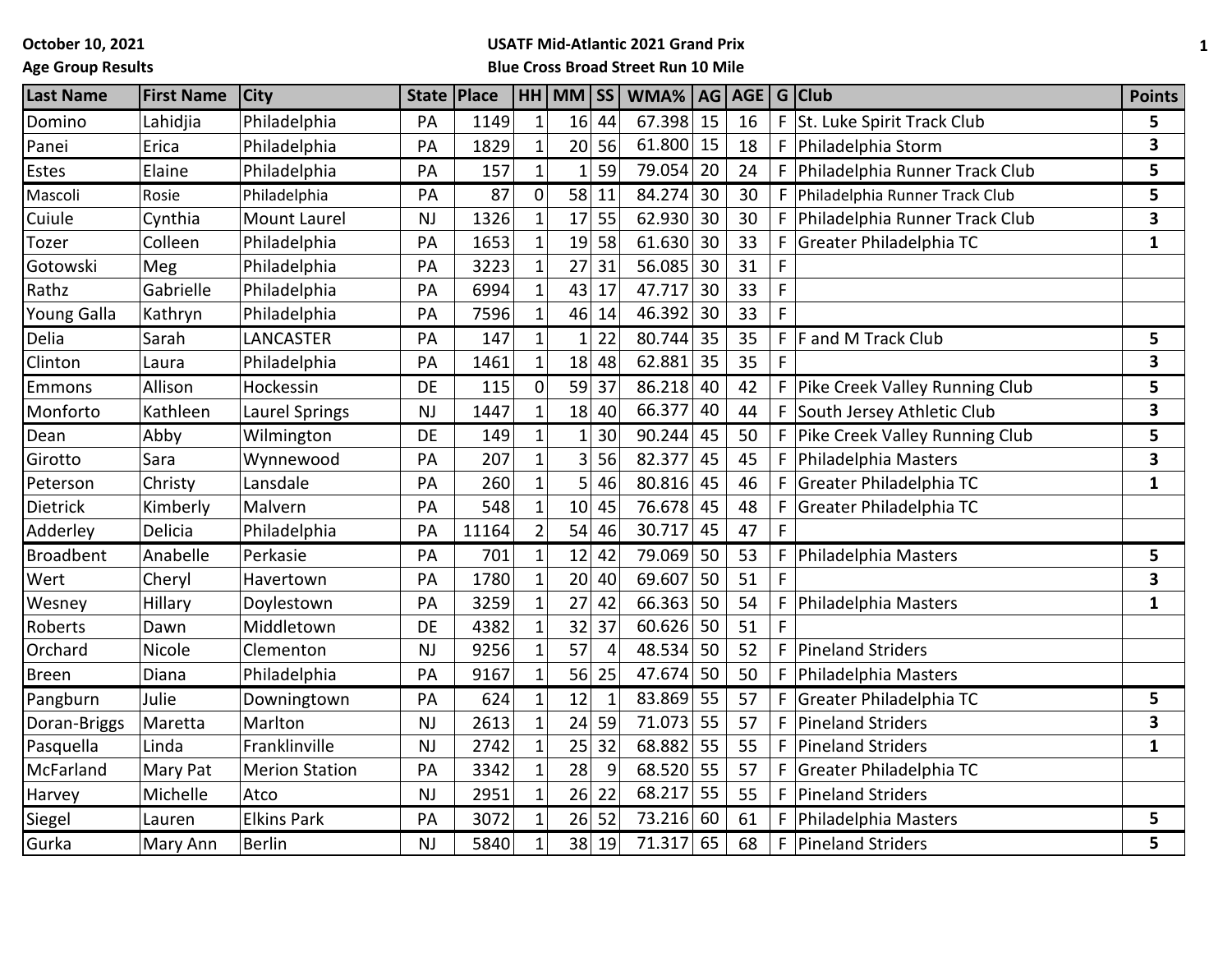**October 10, 2021**

### **Age Group Results**

# **USATF Mid-Atlantic 2021 Grand Prix**

**Blue Cross Broad Street Run 10 Mile**

| <b>Last Name</b>   | <b>First Name</b> | <b>City</b>           | State   Place |       |                | HH MM SS       |                | WMA%   AG   AGE   G   Club |    |    |    |                                | <b>Points</b> |
|--------------------|-------------------|-----------------------|---------------|-------|----------------|----------------|----------------|----------------------------|----|----|----|--------------------------------|---------------|
| Domino             | Lahidjia          | Philadelphia          | PA            | 1149  | $\mathbf{1}$   |                | $16$ 44        | 67.398                     | 15 | 16 | F  | St. Luke Spirit Track Club     | 5             |
| Panei              | Erica             | Philadelphia          | PA            | 1829  | $\mathbf{1}$   |                | 20 56          | 61.800                     | 15 | 18 | F  | Philadelphia Storm             | 3             |
| Estes              | Elaine            | Philadelphia          | PA            | 157   | $\mathbf{1}$   | $1\vert$       | 59             | 79.054                     | 20 | 24 | F  | Philadelphia Runner Track Club | 5             |
| Mascoli            | Rosie             | Philadelphia          | PA            | 87    | $\mathbf 0$    | 58             | 11             | 84.274                     | 30 | 30 | F. | Philadelphia Runner Track Club | 5             |
| Cuiule             | Cynthia           | <b>Mount Laurel</b>   | <b>NJ</b>     | 1326  | $\mathbf{1}$   | 17             | 55             | 62.930                     | 30 | 30 | F  | Philadelphia Runner Track Club | 3             |
| Tozer              | Colleen           | Philadelphia          | PA            | 1653  | $\mathbf{1}$   | 19             | 58             | 61.630                     | 30 | 33 | F  | Greater Philadelphia TC        | $\mathbf{1}$  |
| Gotowski           | Meg               | Philadelphia          | PA            | 3223  | $\mathbf{1}$   | 27             | 31             | 56.085                     | 30 | 31 |    |                                |               |
| Rathz              | Gabrielle         | Philadelphia          | PA            | 6994  | $\mathbf{1}$   | 43             | 17             | 47.717                     | 30 | 33 | F  |                                |               |
| <b>Young Galla</b> | Kathryn           | Philadelphia          | PA            | 7596  | 1              | 46             | 14             | 46.392                     | 30 | 33 |    |                                |               |
| Delia              | Sarah             | LANCASTER             | PA            | 147   | $\mathbf{1}$   | $1\vert$       | 22             | 80.744                     | 35 | 35 |    | $F$ F and M Track Club         | 5             |
| Clinton            | Laura             | Philadelphia          | PA            | 1461  | $\mathbf{1}$   |                | 18 48          | 62.881                     | 35 | 35 | F  |                                | 3             |
| <b>Emmons</b>      | Allison           | Hockessin             | <b>DE</b>     | 115   | $\overline{0}$ | 59             | 37             | 86.218                     | 40 | 42 | F  | Pike Creek Valley Running Club | 5             |
| Monforto           | Kathleen          | <b>Laurel Springs</b> | NJ            | 1447  | $\mathbf{1}$   | 18             | 40             | 66.377                     | 40 | 44 | F  | South Jersey Athletic Club     | 3             |
| Dean               | Abby              | Wilmington            | DE            | 149   | $\mathbf{1}$   | 1 <sup>1</sup> | 30             | 90.244                     | 45 | 50 |    | Pike Creek Valley Running Club | 5             |
| Girotto            | Sara              | Wynnewood             | PA            | 207   | $\mathbf 1$    | 3              | 56             | 82.377                     | 45 | 45 | F  | Philadelphia Masters           | 3             |
| Peterson           | Christy           | Lansdale              | PA            | 260   | $\mathbf{1}$   | 5              | 46             | 80.816                     | 45 | 46 | F  | Greater Philadelphia TC        | $\mathbf{1}$  |
| Dietrick           | Kimberly          | Malvern               | PA            | 548   | $\mathbf{1}$   | 10             | 45             | 76.678                     | 45 | 48 | F  | Greater Philadelphia TC        |               |
| Adderley           | Delicia           | Philadelphia          | PA            | 11164 | $\overline{2}$ | 54             | 46             | 30.717                     | 45 | 47 |    |                                |               |
| <b>Broadbent</b>   | Anabelle          | Perkasie              | PA            | 701   | $\mathbf{1}$   | 12             | 42             | 79.069                     | 50 | 53 | F  | Philadelphia Masters           | 5             |
| Wert               | Cheryl            | Havertown             | PA            | 1780  | $\mathbf{1}$   | 20             | 40             | 69.607                     | 50 | 51 | F  |                                | 3             |
| Wesney             | Hillary           | Doylestown            | PA            | 3259  | $\mathbf 1$    | 27             | 42             | 66.363                     | 50 | 54 |    | Philadelphia Masters           | $\mathbf{1}$  |
| Roberts            | Dawn              | Middletown            | <b>DE</b>     | 4382  | $\mathbf{1}$   | 32             | 37             | 60.626                     | 50 | 51 | F  |                                |               |
| Orchard            | Nicole            | Clementon             | <b>NJ</b>     | 9256  | $\mathbf{1}$   | 57             | $\overline{4}$ | 48.534                     | 50 | 52 | F  | <b>Pineland Striders</b>       |               |
| <b>Breen</b>       | Diana             | Philadelphia          | PA            | 9167  | $\mathbf 1$    | 56             | 25             | 47.674                     | 50 | 50 | F  | Philadelphia Masters           |               |
| Pangburn           | Julie             | Downingtown           | PA            | 624   | $\mathbf{1}$   | 12             |                | 83.869                     | 55 | 57 |    | Greater Philadelphia TC        | 5             |
| Doran-Briggs       | Maretta           | Marlton               | <b>NJ</b>     | 2613  | $\mathbf{1}$   | 24             | 59             | 71.073                     | 55 | 57 | F  | <b>Pineland Striders</b>       | 3             |
| Pasquella          | Linda             | Franklinville         | <b>NJ</b>     | 2742  | $\mathbf 1$    | 25             | 32             | 68.882                     | 55 | 55 | F  | <b>Pineland Striders</b>       | 1             |
| McFarland          | Mary Pat          | <b>Merion Station</b> | PA            | 3342  | $\mathbf 1$    | 28             | 9              | 68.520                     | 55 | 57 | F  | Greater Philadelphia TC        |               |
| Harvey             | Michelle          | Atco                  | <b>NJ</b>     | 2951  | $\mathbf{1}$   | 26             | 22             | 68.217                     | 55 | 55 | F  | Pineland Striders              |               |
| Siegel             | Lauren            | <b>Elkins Park</b>    | PA            | 3072  | $\mathbf{1}$   | 26             | 52             | 73.216                     | 60 | 61 | F  | Philadelphia Masters           | 5             |
| Gurka              | Mary Ann          | <b>Berlin</b>         | <b>NJ</b>     | 5840  | $\mathbf{1}$   | 38             | 19             | 71.317                     | 65 | 68 | F. | Pineland Striders              | 5             |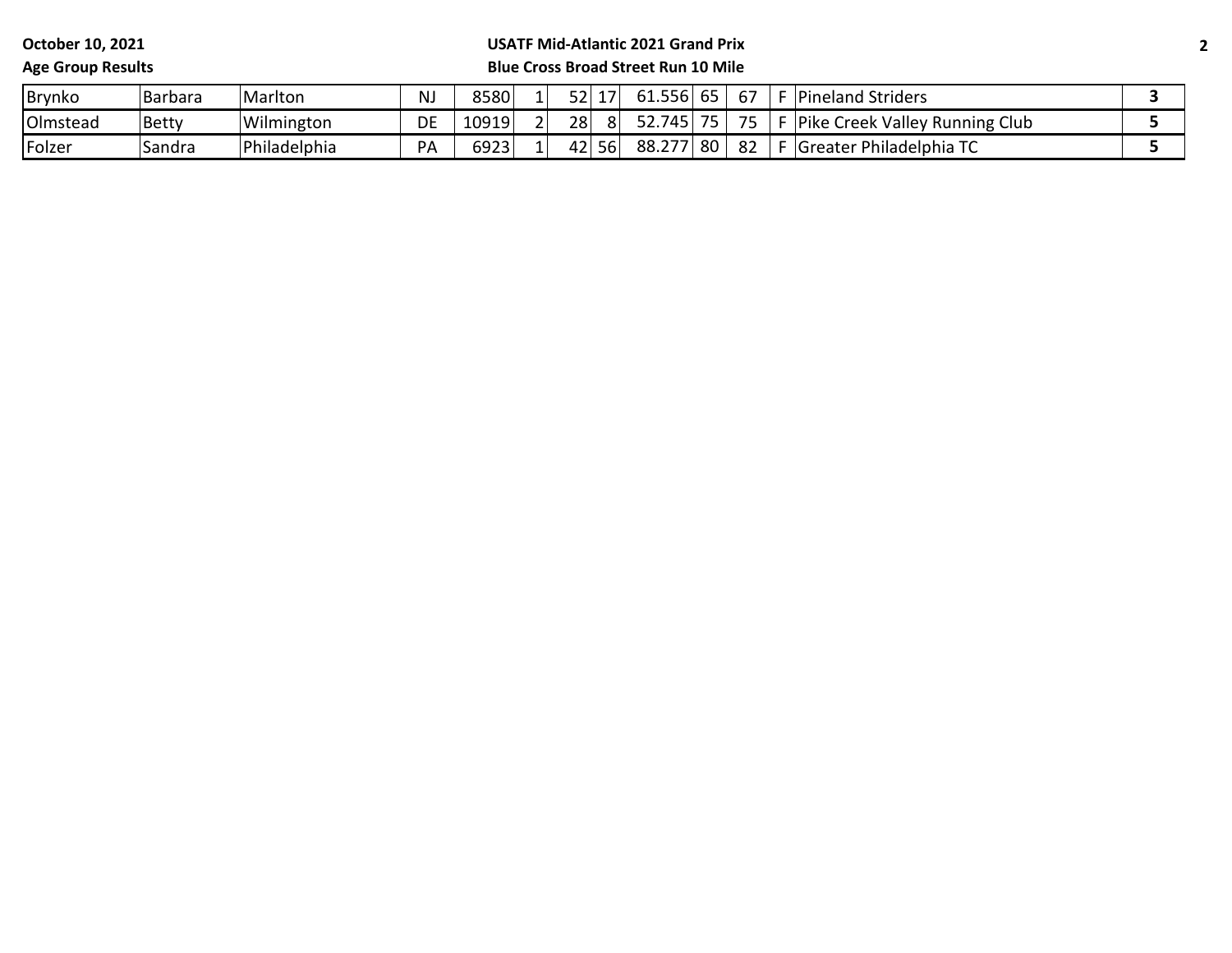**October 10, 2021 Age Group Results**

#### **USATF Mid-Atlantic 2021 Grand Prix Blue Cross Broad Street Run 10 Mile**

# Brynko Barbara Marlton NJ 8580 1 52 17 61.556 65 67 F Pineland Striders **3** Olmstead Betty Wilmington | DE 10919 2 28 8 52.745 75 F Pike Creek Valley Running Club **5** Folzer Sandra Philadelphia PA 6923 1 42 56 88.277 80 82 F Greater Philadelphia TC **5**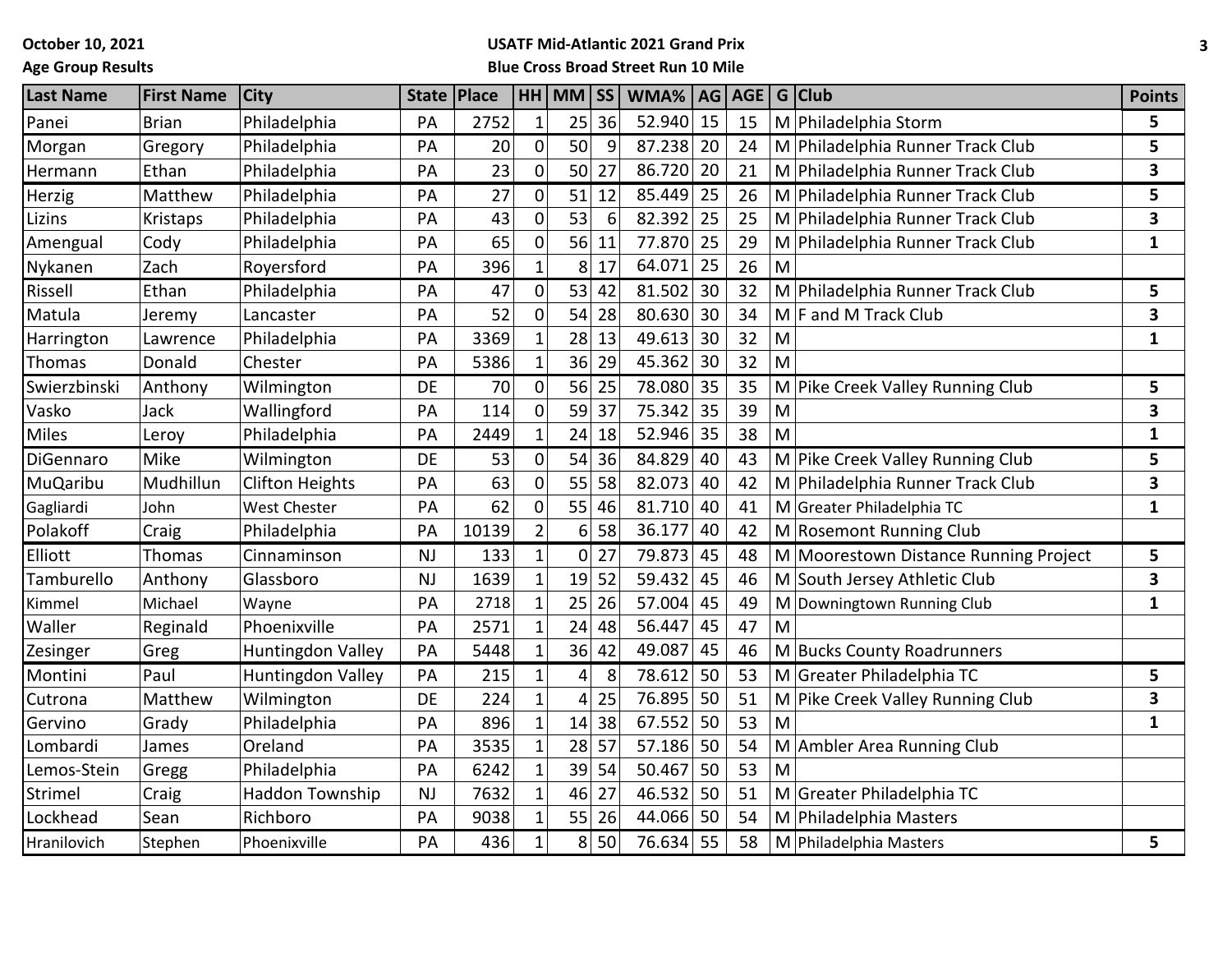**October 10, 2021**

## **Age Group Results**

#### **USATF Mid-Atlantic 2021 Grand Prix Blue Cross Broad Street Run 10 Mile**

| <b>Last Name</b> | <b>First Name</b> | <b>City</b>            | <b>State</b> | Place |                | $HH$ MM $\overline{SS}$ |    | WMA%   | AG |    |   | AGE   G   Club                        | <b>Points</b>           |
|------------------|-------------------|------------------------|--------------|-------|----------------|-------------------------|----|--------|----|----|---|---------------------------------------|-------------------------|
| Panei            | <b>Brian</b>      | Philadelphia           | PA           | 2752  | $\mathbf{1}$   | 25                      | 36 | 52.940 | 15 | 15 | M | Philadelphia Storm                    | 5                       |
| Morgan           | Gregory           | Philadelphia           | PA           | 20    | $\pmb{0}$      | 50                      | 9  | 87.238 | 20 | 24 |   | M Philadelphia Runner Track Club      | 5                       |
| Hermann          | Ethan             | Philadelphia           | PA           | 23    | $\overline{0}$ | 50                      | 27 | 86.720 | 20 | 21 |   | M Philadelphia Runner Track Club      | $\overline{\mathbf{3}}$ |
| Herzig           | Matthew           | Philadelphia           | PA           | 27    | $\overline{0}$ | 51                      | 12 | 85.449 | 25 | 26 |   | M Philadelphia Runner Track Club      | 5                       |
| Lizins           | Kristaps          | Philadelphia           | PA           | 43    | 0              | 53                      | 6  | 82.392 | 25 | 25 |   | M Philadelphia Runner Track Club      | 3                       |
| Amengual         | Cody              | Philadelphia           | PA           | 65    | $\mathbf 0$    | 56                      | 11 | 77.870 | 25 | 29 |   | M Philadelphia Runner Track Club      | $\mathbf{1}$            |
| Nykanen          | Zach              | Royersford             | PA           | 396   | $\mathbf{1}$   | 8 <sup>1</sup>          | 17 | 64.071 | 25 | 26 | M |                                       |                         |
| Rissell          | Ethan             | Philadelphia           | PA           | 47    | 0              | 53                      | 42 | 81.502 | 30 | 32 |   | M Philadelphia Runner Track Club      | 5                       |
| Matula           | Jeremy            | Lancaster              | PA           | 52    | $\overline{0}$ | 54                      | 28 | 80.630 | 30 | 34 |   | $M$ F and M Track Club                | $\overline{\mathbf{3}}$ |
| Harrington       | Lawrence          | Philadelphia           | PA           | 3369  | $\mathbf{1}$   | 28                      | 13 | 49.613 | 30 | 32 | M |                                       | $\mathbf{1}$            |
| Thomas           | Donald            | Chester                | PA           | 5386  | $\mathbf{1}$   | 36                      | 29 | 45.362 | 30 | 32 | M |                                       |                         |
| Swierzbinski     | Anthony           | Wilmington             | DE           | 70    | $\mathbf 0$    | 56                      | 25 | 78.080 | 35 | 35 |   | M Pike Creek Valley Running Club      | 5                       |
| Vasko            | Jack              | Wallingford            | PA           | 114   | 0              | 59                      | 37 | 75.342 | 35 | 39 | M |                                       | 3                       |
| <b>Miles</b>     | Leroy             | Philadelphia           | PA           | 2449  | $\mathbf{1}$   | 24                      | 18 | 52.946 | 35 | 38 | M |                                       | $\mathbf{1}$            |
| DiGennaro        | Mike              | Wilmington             | DE           | 53    | $\mathbf 0$    | 54                      | 36 | 84.829 | 40 | 43 |   | M Pike Creek Valley Running Club      | 5                       |
| MuQaribu         | Mudhillun         | <b>Clifton Heights</b> | PA           | 63    | $\overline{0}$ | 55                      | 58 | 82.073 | 40 | 42 |   | M Philadelphia Runner Track Club      | 3                       |
| Gagliardi        | John              | <b>West Chester</b>    | PA           | 62    | 0              | 55                      | 46 | 81.710 | 40 | 41 |   | M Greater Philadelphia TC             | 1                       |
| Polakoff         | Craig             | Philadelphia           | PA           | 10139 | $\overline{2}$ | 6                       | 58 | 36.177 | 40 | 42 |   | M Rosemont Running Club               |                         |
| Elliott          | Thomas            | Cinnaminson            | NJ           | 133   | $\mathbf{1}$   | 0                       | 27 | 79.873 | 45 | 48 |   | M Moorestown Distance Running Project | 5                       |
| Tamburello       | Anthony           | Glassboro              | <b>NJ</b>    | 1639  | $\overline{1}$ | 19                      | 52 | 59.432 | 45 | 46 |   | M South Jersey Athletic Club          | 3                       |
| Kimmel           | Michael           | Wayne                  | PA           | 2718  | $\mathbf 1$    | 25                      | 26 | 57.004 | 45 | 49 | M | Downingtown Running Club              | $\mathbf{1}$            |
| Waller           | Reginald          | Phoenixville           | PA           | 2571  | $\mathbf{1}$   | 24                      | 48 | 56.447 | 45 | 47 | M |                                       |                         |
| Zesinger         | Greg              | Huntingdon Valley      | PA           | 5448  | $\mathbf{1}$   | 36                      | 42 | 49.087 | 45 | 46 |   | M Bucks County Roadrunners            |                         |
| Montini          | Paul              | Huntingdon Valley      | PA           | 215   | $\mathbf{1}$   | 4                       | 8  | 78.612 | 50 | 53 |   | M Greater Philadelphia TC             | 5                       |
| Cutrona          | Matthew           | Wilmington             | DE           | 224   | $\mathbf{1}$   | 4                       | 25 | 76.895 | 50 | 51 |   | M Pike Creek Valley Running Club      | 3                       |
| Gervino          | Grady             | Philadelphia           | PA           | 896   | $\mathbf{1}$   | 14                      | 38 | 67.552 | 50 | 53 | M |                                       | $\mathbf{1}$            |
| Lombardi         | James             | Oreland                | PA           | 3535  | $\mathbf{1}$   | 28                      | 57 | 57.186 | 50 | 54 | M | Ambler Area Running Club              |                         |
| Lemos-Stein      | Gregg             | Philadelphia           | PA           | 6242  | $\mathbf{1}$   | 39                      | 54 | 50.467 | 50 | 53 | M |                                       |                         |
| Strimel          | Craig             | <b>Haddon Township</b> | <b>NJ</b>    | 7632  | $\mathbf{1}$   | 46                      | 27 | 46.532 | 50 | 51 |   | M Greater Philadelphia TC             |                         |
| Lockhead         | Sean              | Richboro               | PA           | 9038  | $\mathbf{1}$   | 55                      | 26 | 44.066 | 50 | 54 |   | M Philadelphia Masters                |                         |
| Hranilovich      | Stephen           | Phoenixville           | PA           | 436   | $\mathbf{1}$   | 8                       | 50 | 76.634 | 55 | 58 |   | M Philadelphia Masters                | 5                       |